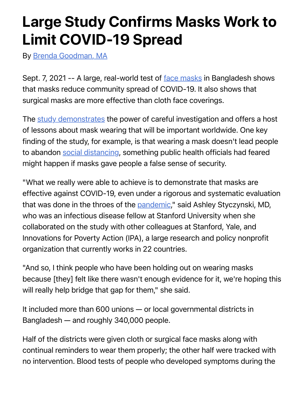## Large Study Confirms Masks Work to Limit COVID-19 Spread

By [Brenda Goodman, MA](https://www.webmd.com/brenda-goodman)

Sept. 7, 2021 -- A large, real-world test of [face masks](https://www.webmd.com/lung/coronavirus-face-masks) in Bangladesh shows that masks reduce community spread of COVID-19. It also shows that surgical masks are more effective than cloth face coverings.

The [study demonstrates](https://www.poverty-action.org/study/impact-mask-distribution-and-promotion-mask-uptake-and-covid-19-bangladesh) the power of careful investigation and offers a host of lessons about mask wearing that will be important worldwide. One key finding of the study, for example, is that wearing a mask doesn't lead people to abandon [social distancing](https://www.webmd.com/lung/coronavirus-isolation), something public health officials had feared might happen if masks gave people a false sense of security.

"What we really were able to achieve is to demonstrate that masks are effective against COVID-19, even under a rigorous and systematic evaluation that was done in the throes of the [pandemic,](https://www.webmd.com/cold-and-flu/features/what-is-pandemic)" said Ashley Styczynski, MD, who was an infectious disease fellow at Stanford University when she collaborated on the study with other colleagues at Stanford, Yale, and Innovations for Poverty Action (IPA), a large research and policy nonprofit organization that currently works in 22 countries.

"And so, I think people who have been holding out on wearing masks because [they] felt like there wasn't enough evidence for it, we're hoping this will really help bridge that gap for them," she said.

It included more than 600 unions — or local governmental districts in Bangladesh — and roughly 340,000 people.

Half of the districts were given cloth or surgical face masks along with continual reminders to wear them properly; the other half were tracked with no intervention. Blood tests of people who developed symptoms during the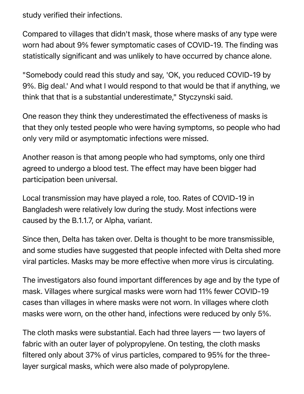study verified their infections.

Compared to villages that didn't mask, those where masks of any type were worn had about 9% fewer symptomatic cases of COVID-19. The finding was statistically significant and was unlikely to have occurred by chance alone.

"Somebody could read this study and say, 'OK, you reduced COVID-19 by 9%. Big deal.' And what I would respond to that would be that if anything, we think that that is a substantial underestimate," Styczynski said.

One reason they think they underestimated the effectiveness of masks is that they only tested people who were having symptoms, so people who had only very mild or asymptomatic infections were missed.

Another reason is that among people who had symptoms, only one third agreed to undergo a blood test. The effect may have been bigger had participation been universal.

Local transmission may have played a role, too. Rates of COVID-19 in Bangladesh were relatively low during the study. Most infections were caused by the B.1.1.7, or Alpha, variant.

Since then, Delta has taken over. Delta is thought to be more transmissible, and some studies have suggested that people infected with Delta shed more viral particles. Masks may be more effective when more virus is circulating.

The investigators also found important differences by age and by the type of mask. Villages where surgical masks were worn had 11% fewer COVID-19 cases than villages in where masks were not worn. In villages where cloth masks were worn, on the other hand, infections were reduced by only 5%.

The cloth masks were substantial. Each had three layers  $\sim$  two layers of fabric with an outer layer of polypropylene. On testing, the cloth masks filtered only about 37% of virus particles, compared to 95% for the threelayer surgical masks, which were also made of polypropylene.